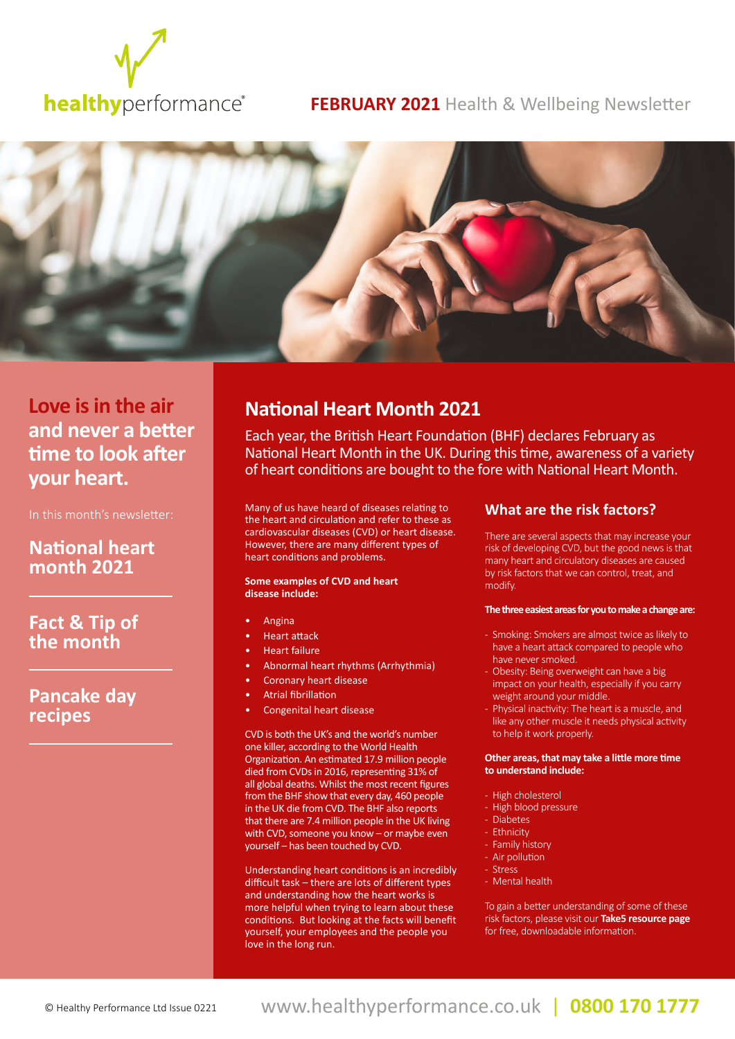

# **FEBRUARY 2021** Health & Wellbeing Newsletter



**and never a better time to look after your heart.**

In this month's newsletter:

# **National heart month 2021**

**Fact & Tip of the month**

# **Pancake day recipes**

# **Love is in the air National Heart Month 2021**

Each year, the British Heart Foundation (BHF) declares February as National Heart Month in the UK. During this time, awareness of a variety of heart conditions are bought to the fore with National Heart Month.

Many of us have heard of diseases relating to the heart and circulation and refer to these as cardiovascular diseases (CVD) or heart disease. However, there are many different types of heart conditions and problems.

### **Some examples of CVD and heart disease include:**

- Angina
- Heart attack
- Heart failure
- Abnormal heart rhythms (Arrhythmia)
- Coronary heart disease
- Atrial fibrillation
- Congenital heart disease

CVD is both the UK's and the world's number one killer, according to the World Health Organization. An estimated 17.9 million people died from CVDs in 2016, representing 31% of all global deaths. Whilst the most recent figures from the BHF show that every day, 460 people in the UK die from CVD. The BHF also reports that there are 7.4 million people in the UK living with CVD, someone you know – or maybe even yourself – has been touched by CVD.

Understanding heart conditions is an incredibly difficult task – there are lots of different types and understanding how the heart works is more helpful when trying to learn about these conditions. But looking at the facts will benefit yourself, your employees and the people you love in the long run.

## **What are the risk factors?**

There are several aspects that may increase your risk of developing CVD, but the good news is that many heart and circulatory diseases are caused by risk factors that we can control, treat, and modify.

### **The three easiest areas for you to make a change are:**

- Smoking: Smokers are almost twice as likely to have a heart attack compared to people who have never smoked.
- Obesity: Being overweight can have a big impact on your health, especially if you carry weight around your middle.
- Physical inactivity: The heart is a muscle, and like any other muscle it needs physical activity to help it work properly.

### **Other areas, that may take a little more time to understand include:**

- High cholesterol
- High blood pressure
- Diabetes
- Ethnicity
- Family history
- Air pollution
- Stress
- Mental health

To gain a better understanding of some of these risk factors, please visit our **[Take5 resource page](https://www.healthyperformance.co.uk/resources/general/)** for free, downloadable information.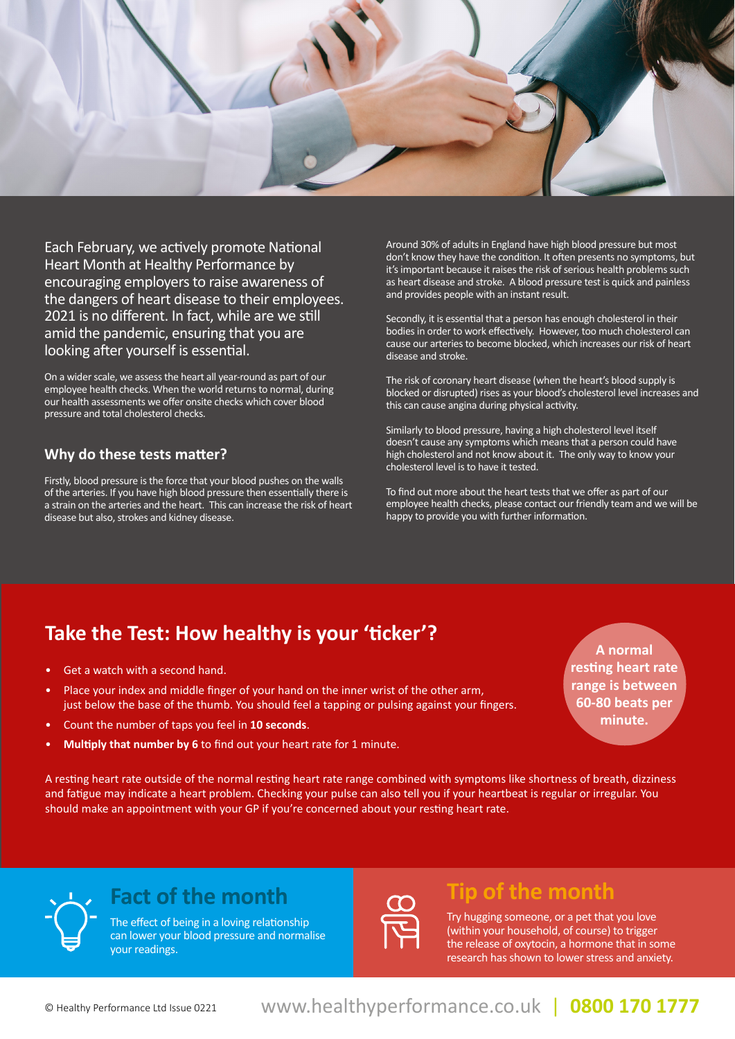

Each February, we actively promote National Heart Month at Healthy Performance by encouraging employers to raise awareness of the dangers of heart disease to their employees. 2021 is no different. In fact, while are we still amid the pandemic, ensuring that you are looking after yourself is essential.

On a wider scale, we assess the heart all year-round as part of our employee health checks. When the world returns to normal, during our health assessments we offer onsite checks which cover blood pressure and total cholesterol checks.

## **Why do these tests matter?**

Firstly, blood pressure is the force that your blood pushes on the walls of the arteries. If you have high blood pressure then essentially there is a strain on the arteries and the heart. This can increase the risk of heart disease but also, strokes and kidney disease.

Around 30% of adults in England have high blood pressure but most don't know they have the condition. It often presents no symptoms, but it's important because it raises the risk of serious health problems such as heart disease and stroke. A blood pressure test is quick and painless and provides people with an instant result.

Secondly, it is essential that a person has enough cholesterol in their bodies in order to work effectively. However, too much cholesterol can cause our arteries to become blocked, which increases our risk of heart disease and stroke.

The risk of coronary heart disease (when the heart's blood supply is blocked or disrupted) rises as your blood's cholesterol level increases and this can cause angina during physical activity.

Similarly to blood pressure, having a high cholesterol level itself doesn't cause any symptoms which means that a person could have high cholesterol and not know about it. The only way to know your cholesterol level is to have it tested.

To find out more about the heart tests that we offer as part of our employee health checks, please contact our friendly team and we will be happy to provide you with further information.

# **Take the Test: How healthy is your 'ticker'?**

- Get a watch with a second hand.
- Place your index and middle finger of your hand on the inner wrist of the other arm, just below the base of the thumb. You should feel a tapping or pulsing against your fingers.
- Count the number of taps you feel in **10 seconds**.
- **Multiply that number by 6** to find out your heart rate for 1 minute.

**A normal resting heart rate range is between 60-80 beats per minute.**

A resting heart rate outside of the normal resting heart rate range combined with symptoms like shortness of breath, dizziness and fatigue may indicate a heart problem. Checking your pulse can also tell you if your heartbeat is regular or irregular. You should make an appointment with your GP if you're concerned about your resting heart rate.



The effect of being in a loving relationship can lower your blood pressure and normalise your readings.



# **Fact of the month Tip of the month**

Try hugging someone, or a pet that you love (within your household, of course) to trigger the release of oxytocin, a hormone that in some research has shown to lower stress and anxiety.

www.healthyperformance.co.uk | www.healthyperformance.co.uk | www.healthyperformance.co.uk **0844 432 5849 (0844 HEALTHY) 0844 432 5849 (0844 HEALTHY)** © Healthy Performance Ltd Issue 0221 | **0800 170 1777**